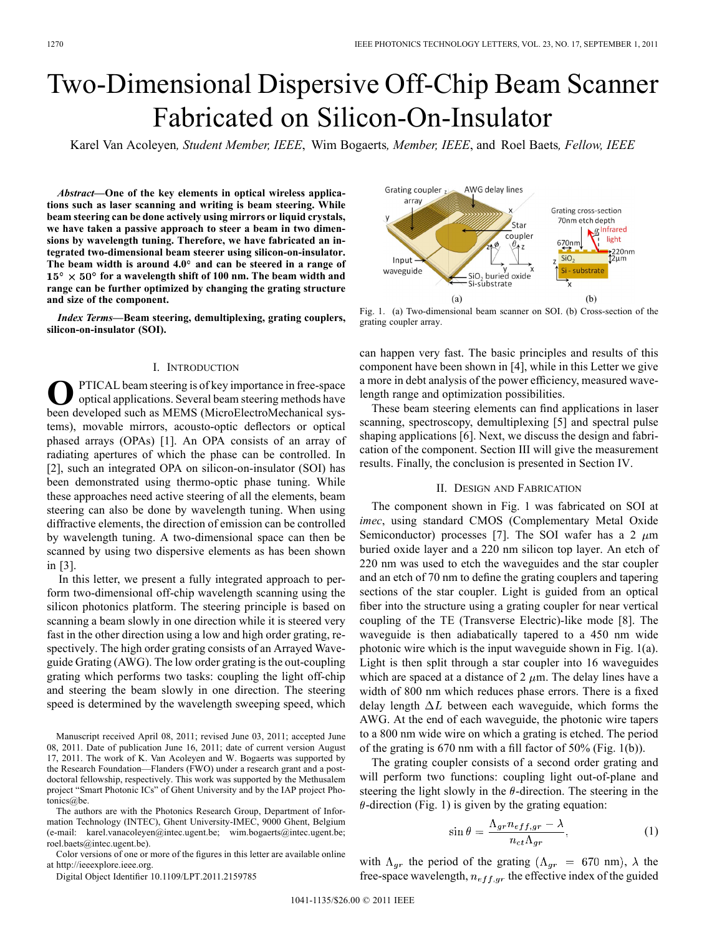# Two-Dimensional Dispersive Off-Chip Beam Scanner Fabricated on Silicon-On-Insulator

Karel Van Acoleyen*, Student Member, IEEE*, Wim Bogaerts*, Member, IEEE*, and Roel Baets*, Fellow, IEEE*

*Abstract—***One of the key elements in optical wireless applications such as laser scanning and writing is beam steering. While beam steering can be done actively using mirrors or liquid crystals, we have taken a passive approach to steer a beam in two dimensions by wavelength tuning. Therefore, we have fabricated an integrated two-dimensional beam steerer using silicon-on-insulator. The beam width is around 4.0 and can be steered in a range of**  $15^{\circ} \times 50^{\circ}$  for a wavelength shift of 100 nm. The beam width and **range can be further optimized by changing the grating structure and size of the component.**

*Index Terms—***Beam steering, demultiplexing, grating couplers, silicon-on-insulator (SOI).**

## I. INTRODUCTION

PTICAL beam steering is of key importance in free-space optical applications. Several beam steering methods have been developed such as MEMS (MicroElectroMechanical systems), movable mirrors, acousto-optic deflectors or optical phased arrays (OPAs) [1]. An OPA consists of an array of radiating apertures of which the phase can be controlled. In [2], such an integrated OPA on silicon-on-insulator (SOI) has been demonstrated using thermo-optic phase tuning. While these approaches need active steering of all the elements, beam steering can also be done by wavelength tuning. When using diffractive elements, the direction of emission can be controlled by wavelength tuning. A two-dimensional space can then be scanned by using two dispersive elements as has been shown in [3].

In this letter, we present a fully integrated approach to perform two-dimensional off-chip wavelength scanning using the silicon photonics platform. The steering principle is based on scanning a beam slowly in one direction while it is steered very fast in the other direction using a low and high order grating, respectively. The high order grating consists of an Arrayed Waveguide Grating (AWG). The low order grating is the out-coupling grating which performs two tasks: coupling the light off-chip and steering the beam slowly in one direction. The steering speed is determined by the wavelength sweeping speed, which

Manuscript received April 08, 2011; revised June 03, 2011; accepted June 08, 2011. Date of publication June 16, 2011; date of current version August 17, 2011. The work of K. Van Acoleyen and W. Bogaerts was supported by the Research Foundation—Flanders (FWO) under a research grant and a postdoctoral fellowship, respectively. This work was supported by the Methusalem project "Smart Photonic ICs" of Ghent University and by the IAP project Photonics@be.

The authors are with the Photonics Research Group, Department of Information Technology (INTEC), Ghent University-IMEC, 9000 Ghent, Belgium (e-mail: karel.vanacoleyen@intec.ugent.be; wim.bogaerts@intec.ugent.be; roel.baets@intec.ugent.be).

Color versions of one or more of the figures in this letter are available online at http://ieeexplore.ieee.org.

Digital Object Identifier 10.1109/LPT.2011.2159785



Fig. 1. (a) Two-dimensional beam scanner on SOI. (b) Cross-section of the grating coupler array.

can happen very fast. The basic principles and results of this component have been shown in [4], while in this Letter we give a more in debt analysis of the power efficiency, measured wavelength range and optimization possibilities.

These beam steering elements can find applications in laser scanning, spectroscopy, demultiplexing [5] and spectral pulse shaping applications [6]. Next, we discuss the design and fabrication of the component. Section III will give the measurement results. Finally, the conclusion is presented in Section IV.

## II. DESIGN AND FABRICATION

The component shown in Fig. 1 was fabricated on SOI at *imec*, using standard CMOS (Complementary Metal Oxide Semiconductor) processes [7]. The SOI wafer has a 2  $\mu$ m buried oxide layer and a 220 nm silicon top layer. An etch of 220 nm was used to etch the waveguides and the star coupler and an etch of 70 nm to define the grating couplers and tapering sections of the star coupler. Light is guided from an optical fiber into the structure using a grating coupler for near vertical coupling of the TE (Transverse Electric)-like mode [8]. The waveguide is then adiabatically tapered to a 450 nm wide photonic wire which is the input waveguide shown in Fig. 1(a). Light is then split through a star coupler into 16 waveguides which are spaced at a distance of 2  $\mu$ m. The delay lines have a width of 800 nm which reduces phase errors. There is a fixed delay length  $\Delta L$  between each waveguide, which forms the AWG. At the end of each waveguide, the photonic wire tapers to a 800 nm wide wire on which a grating is etched. The period of the grating is 670 nm with a fill factor of 50% (Fig. 1(b)).

The grating coupler consists of a second order grating and will perform two functions: coupling light out-of-plane and steering the light slowly in the  $\theta$ -direction. The steering in the  $\theta$ -direction (Fig. 1) is given by the grating equation:

$$
\sin \theta = \frac{\Lambda_{gr} n_{eff,gr} - \lambda}{n_{ct} \Lambda_{gr}},\tag{1}
$$

with  $\Lambda_{gr}$  the period of the grating  $(\Lambda_{gr} = 670 \text{ nm})$ ,  $\lambda$  the free-space wavelength,  $n_{eff,qr}$  the effective index of the guided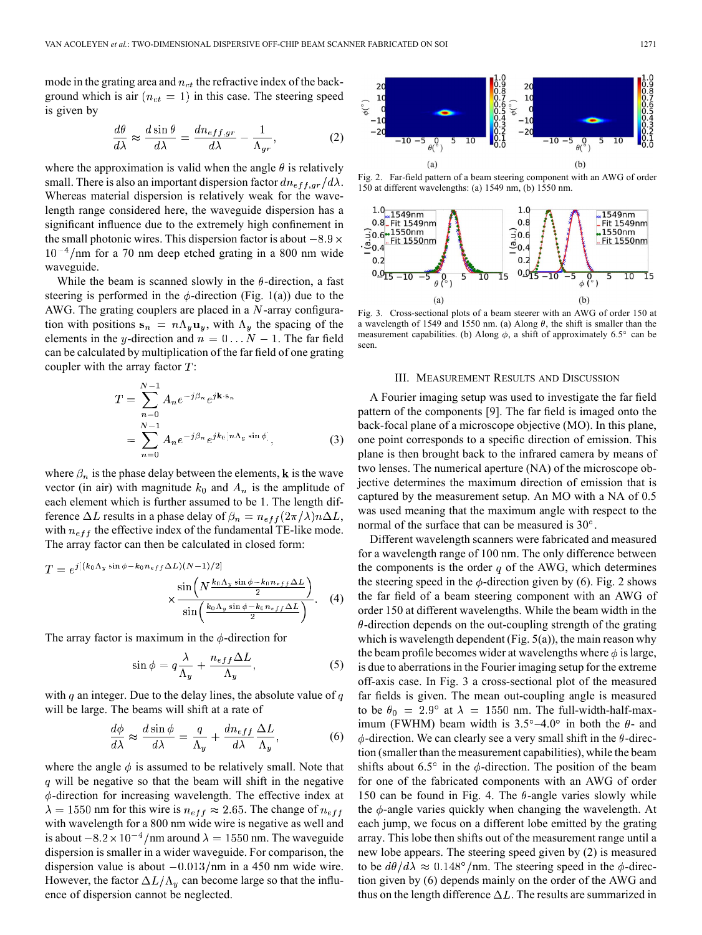mode in the grating area and  $n_{ct}$  the refractive index of the background which is air  $(n_{ct} = 1)$  in this case. The steering speed is given by

$$
\frac{d\theta}{d\lambda} \approx \frac{d\sin\theta}{d\lambda} = \frac{dn_{eff,gr}}{d\lambda} - \frac{1}{\Lambda_{gr}},\tag{2}
$$

where the approximation is valid when the angle  $\theta$  is relatively small. There is also an important dispersion factor  $dn_{eff,qr}/d\lambda$ . Whereas material dispersion is relatively weak for the wavelength range considered here, the waveguide dispersion has a significant influence due to the extremely high confinement in the small photonic wires. This dispersion factor is about  $-8.9 \times$  $10^{-4}$ /nm for a 70 nm deep etched grating in a 800 nm wide waveguide.

While the beam is scanned slowly in the  $\theta$ -direction, a fast steering is performed in the  $\phi$ -direction (Fig. 1(a)) due to the AWG. The grating couplers are placed in a  $N$ -array configuration with positions  $s_n = n\Lambda_y u_y$ , with  $\Lambda_y$  the spacing of the elements in the y-direction and  $n = 0...N - 1$ . The far field can be calculated by multiplication of the far field of one grating coupler with the array factor  $T$ :

$$
T = \sum_{n=0}^{N-1} A_n e^{-j\beta_n} e^{j\mathbf{k} \cdot \mathbf{s}_n}
$$
  
= 
$$
\sum_{n=0}^{N-1} A_n e^{-j\beta_n} e^{j k_0 [n \Lambda_y \sin \phi]},
$$
 (3)

where  $\beta_n$  is the phase delay between the elements, k is the wave vector (in air) with magnitude  $k_0$  and  $A_n$  is the amplitude of each element which is further assumed to be 1. The length difference  $\Delta L$  results in a phase delay of  $\beta_n = n_{eff} (2\pi/\lambda) n \Delta L$ , with  $n_{eff}$  the effective index of the fundamental TE-like mode. The array factor can then be calculated in closed form:

$$
T = e^{j[(k_0 \Lambda_y \sin \phi - k_0 n_{eff} \Delta L)(N-1)/2]} \times \frac{\sin \left(N \frac{k_0 \Lambda_y \sin \phi - k_0 n_{eff} \Delta L}{2}\right)}{\sin \left(\frac{k_0 \Lambda_y \sin \phi - k_0 n_{eff} \Delta L}{2}\right)}.
$$
 (4)

The array factor is maximum in the  $\phi$ -direction for

$$
\sin \phi = q \frac{\lambda}{\Lambda_y} + \frac{n_{eff} \Delta L}{\Lambda_y},\tag{5}
$$

with  $q$  an integer. Due to the delay lines, the absolute value of  $q$ will be large. The beams will shift at a rate of

$$
\frac{d\phi}{d\lambda} \approx \frac{d\sin\phi}{d\lambda} = \frac{q}{\Lambda_y} + \frac{dn_{eff}}{d\lambda} \frac{\Delta L}{\Lambda_y},\tag{6}
$$

where the angle  $\phi$  is assumed to be relatively small. Note that  $q$  will be negative so that the beam will shift in the negative  $\phi$ -direction for increasing wavelength. The effective index at  $\lambda = 1550$  nm for this wire is  $n_{eff} \approx 2.65$ . The change of  $n_{eff}$ with wavelength for a 800 nm wide wire is negative as well and is about  $-8.2 \times 10^{-4}$ /nm around  $\lambda = 1550$  nm. The waveguide dispersion is smaller in a wider waveguide. For comparison, the dispersion value is about  $-0.013/\text{nm}$  in a 450 nm wide wire. However, the factor  $\Delta L/\Lambda_y$  can become large so that the influence of dispersion cannot be neglected.

 $\overline{2}$  $\mathbf{1}$  $(b)$  $(a)$ 

Fig. 2. Far-field pattern of a beam steering component with an AWG of order 150 at different wavelengths: (a) 1549 nm, (b) 1550 nm.



Fig. 3. Cross-sectional plots of a beam steerer with an AWG of order 150 at a wavelength of 1549 and 1550 nm. (a) Along  $\theta$ , the shift is smaller than the measurement capabilities. (b) Along  $\phi$ , a shift of approximately 6.5° can be seen.

#### III. MEASUREMENT RESULTS AND DISCUSSION

A Fourier imaging setup was used to investigate the far field pattern of the components [9]. The far field is imaged onto the back-focal plane of a microscope objective (MO). In this plane, one point corresponds to a specific direction of emission. This plane is then brought back to the infrared camera by means of two lenses. The numerical aperture (NA) of the microscope objective determines the maximum direction of emission that is captured by the measurement setup. An MO with a NA of 0.5 was used meaning that the maximum angle with respect to the normal of the surface that can be measured is  $30^\circ$ .

Different wavelength scanners were fabricated and measured for a wavelength range of 100 nm. The only difference between the components is the order  $q$  of the AWG, which determines the steering speed in the  $\phi$ -direction given by (6). Fig. 2 shows the far field of a beam steering component with an AWG of order 150 at different wavelengths. While the beam width in the  $\theta$ -direction depends on the out-coupling strength of the grating which is wavelength dependent (Fig.  $5(a)$ ), the main reason why the beam profile becomes wider at wavelengths where  $\phi$  is large, is due to aberrations in the Fourier imaging setup for the extreme off-axis case. In Fig. 3 a cross-sectional plot of the measured far fields is given. The mean out-coupling angle is measured to be  $\theta_0 = 2.9^{\circ}$  at  $\lambda = 1550$  nm. The full-width-half-maximum (FWHM) beam width is  $3.5^{\circ} - 4.0^{\circ}$  in both the  $\theta$ - and  $\phi$ -direction. We can clearly see a very small shift in the  $\theta$ -direction (smaller than the measurement capabilities), while the beam shifts about 6.5 $\degree$  in the  $\phi$ -direction. The position of the beam for one of the fabricated components with an AWG of order 150 can be found in Fig. 4. The  $\theta$ -angle varies slowly while the  $\phi$ -angle varies quickly when changing the wavelength. At each jump, we focus on a different lobe emitted by the grating array. This lobe then shifts out of the measurement range until a new lobe appears. The steering speed given by (2) is measured to be  $d\theta/d\lambda \approx 0.148^{\circ}/\text{nm}$ . The steering speed in the  $\phi$ -direction given by (6) depends mainly on the order of the AWG and thus on the length difference  $\Delta L$ . The results are summarized in